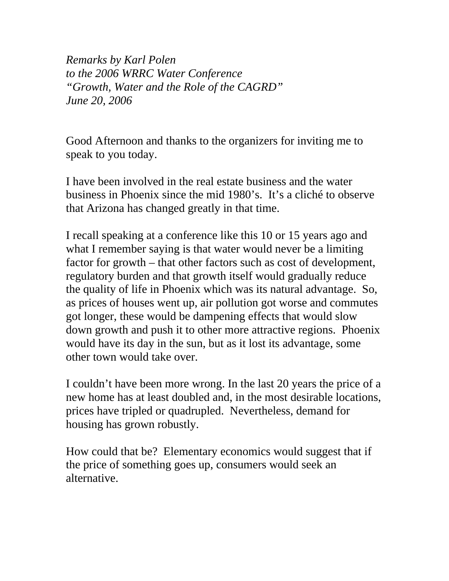*Remarks by Karl Polen to the 2006 WRRC Water Conference "Growth, Water and the Role of the CAGRD" June 20, 2006* 

Good Afternoon and thanks to the organizers for inviting me to speak to you today.

I have been involved in the real estate business and the water business in Phoenix since the mid 1980's. It's a cliché to observe that Arizona has changed greatly in that time.

I recall speaking at a conference like this 10 or 15 years ago and what I remember saying is that water would never be a limiting factor for growth – that other factors such as cost of development, regulatory burden and that growth itself would gradually reduce the quality of life in Phoenix which was its natural advantage. So, as prices of houses went up, air pollution got worse and commutes got longer, these would be dampening effects that would slow down growth and push it to other more attractive regions. Phoenix would have its day in the sun, but as it lost its advantage, some other town would take over.

I couldn't have been more wrong. In the last 20 years the price of a new home has at least doubled and, in the most desirable locations, prices have tripled or quadrupled. Nevertheless, demand for housing has grown robustly.

How could that be? Elementary economics would suggest that if the price of something goes up, consumers would seek an alternative.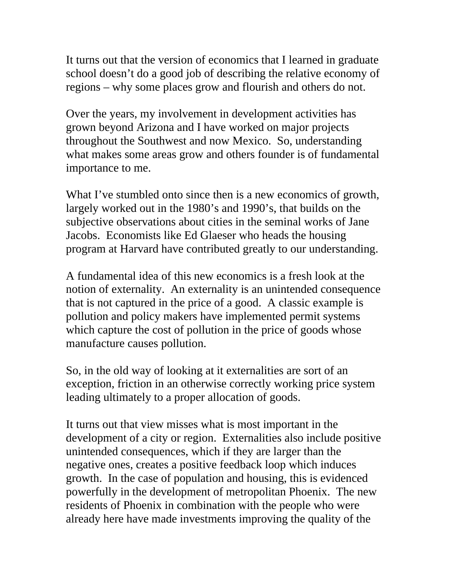It turns out that the version of economics that I learned in graduate school doesn't do a good job of describing the relative economy of regions – why some places grow and flourish and others do not.

Over the years, my involvement in development activities has grown beyond Arizona and I have worked on major projects throughout the Southwest and now Mexico. So, understanding what makes some areas grow and others founder is of fundamental importance to me.

What I've stumbled onto since then is a new economics of growth, largely worked out in the 1980's and 1990's, that builds on the subjective observations about cities in the seminal works of Jane Jacobs. Economists like Ed Glaeser who heads the housing program at Harvard have contributed greatly to our understanding.

A fundamental idea of this new economics is a fresh look at the notion of externality. An externality is an unintended consequence that is not captured in the price of a good. A classic example is pollution and policy makers have implemented permit systems which capture the cost of pollution in the price of goods whose manufacture causes pollution.

So, in the old way of looking at it externalities are sort of an exception, friction in an otherwise correctly working price system leading ultimately to a proper allocation of goods.

It turns out that view misses what is most important in the development of a city or region. Externalities also include positive unintended consequences, which if they are larger than the negative ones, creates a positive feedback loop which induces growth. In the case of population and housing, this is evidenced powerfully in the development of metropolitan Phoenix. The new residents of Phoenix in combination with the people who were already here have made investments improving the quality of the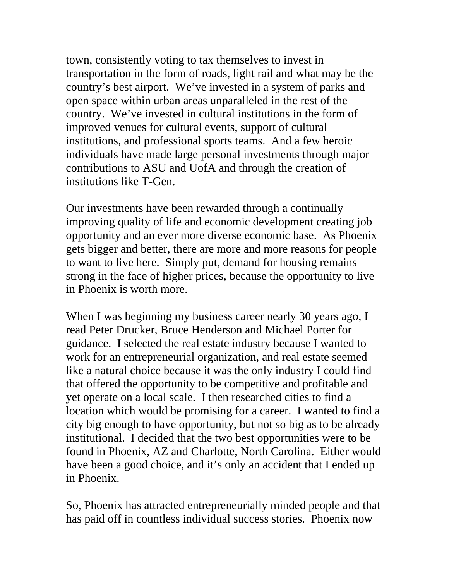town, consistently voting to tax themselves to invest in transportation in the form of roads, light rail and what may be the country's best airport. We've invested in a system of parks and open space within urban areas unparalleled in the rest of the country. We've invested in cultural institutions in the form of improved venues for cultural events, support of cultural institutions, and professional sports teams. And a few heroic individuals have made large personal investments through major contributions to ASU and UofA and through the creation of institutions like T-Gen.

Our investments have been rewarded through a continually improving quality of life and economic development creating job opportunity and an ever more diverse economic base. As Phoenix gets bigger and better, there are more and more reasons for people to want to live here. Simply put, demand for housing remains strong in the face of higher prices, because the opportunity to live in Phoenix is worth more.

When I was beginning my business career nearly 30 years ago, I read Peter Drucker, Bruce Henderson and Michael Porter for guidance. I selected the real estate industry because I wanted to work for an entrepreneurial organization, and real estate seemed like a natural choice because it was the only industry I could find that offered the opportunity to be competitive and profitable and yet operate on a local scale. I then researched cities to find a location which would be promising for a career. I wanted to find a city big enough to have opportunity, but not so big as to be already institutional. I decided that the two best opportunities were to be found in Phoenix, AZ and Charlotte, North Carolina. Either would have been a good choice, and it's only an accident that I ended up in Phoenix.

So, Phoenix has attracted entrepreneurially minded people and that has paid off in countless individual success stories. Phoenix now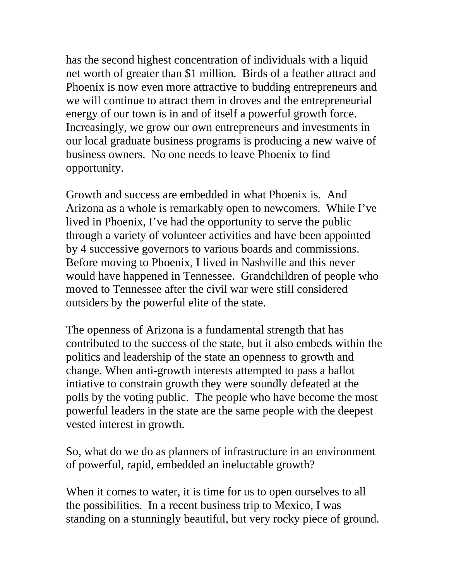has the second highest concentration of individuals with a liquid net worth of greater than \$1 million. Birds of a feather attract and Phoenix is now even more attractive to budding entrepreneurs and we will continue to attract them in droves and the entrepreneurial energy of our town is in and of itself a powerful growth force. Increasingly, we grow our own entrepreneurs and investments in our local graduate business programs is producing a new waive of business owners. No one needs to leave Phoenix to find opportunity.

Growth and success are embedded in what Phoenix is. And Arizona as a whole is remarkably open to newcomers. While I've lived in Phoenix, I've had the opportunity to serve the public through a variety of volunteer activities and have been appointed by 4 successive governors to various boards and commissions. Before moving to Phoenix, I lived in Nashville and this never would have happened in Tennessee. Grandchildren of people who moved to Tennessee after the civil war were still considered outsiders by the powerful elite of the state.

The openness of Arizona is a fundamental strength that has contributed to the success of the state, but it also embeds within the politics and leadership of the state an openness to growth and change. When anti-growth interests attempted to pass a ballot intiative to constrain growth they were soundly defeated at the polls by the voting public. The people who have become the most powerful leaders in the state are the same people with the deepest vested interest in growth.

So, what do we do as planners of infrastructure in an environment of powerful, rapid, embedded an ineluctable growth?

When it comes to water, it is time for us to open ourselves to all the possibilities. In a recent business trip to Mexico, I was standing on a stunningly beautiful, but very rocky piece of ground.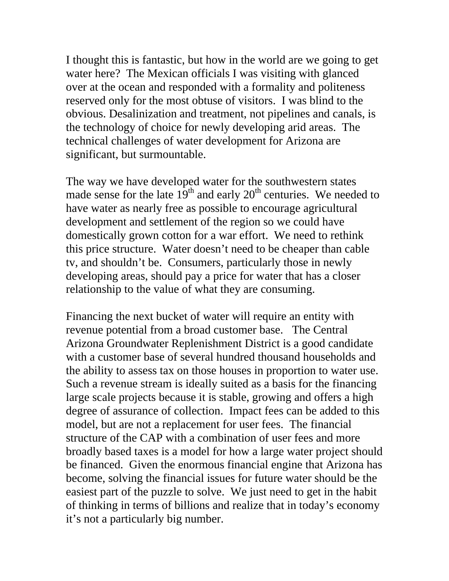I thought this is fantastic, but how in the world are we going to get water here? The Mexican officials I was visiting with glanced over at the ocean and responded with a formality and politeness reserved only for the most obtuse of visitors. I was blind to the obvious. Desalinization and treatment, not pipelines and canals, is the technology of choice for newly developing arid areas. The technical challenges of water development for Arizona are significant, but surmountable.

The way we have developed water for the southwestern states made sense for the late  $19<sup>th</sup>$  and early  $20<sup>th</sup>$  centuries. We needed to have water as nearly free as possible to encourage agricultural development and settlement of the region so we could have domestically grown cotton for a war effort. We need to rethink this price structure. Water doesn't need to be cheaper than cable tv, and shouldn't be. Consumers, particularly those in newly developing areas, should pay a price for water that has a closer relationship to the value of what they are consuming.

Financing the next bucket of water will require an entity with revenue potential from a broad customer base. The Central Arizona Groundwater Replenishment District is a good candidate with a customer base of several hundred thousand households and the ability to assess tax on those houses in proportion to water use. Such a revenue stream is ideally suited as a basis for the financing large scale projects because it is stable, growing and offers a high degree of assurance of collection. Impact fees can be added to this model, but are not a replacement for user fees. The financial structure of the CAP with a combination of user fees and more broadly based taxes is a model for how a large water project should be financed. Given the enormous financial engine that Arizona has become, solving the financial issues for future water should be the easiest part of the puzzle to solve. We just need to get in the habit of thinking in terms of billions and realize that in today's economy it's not a particularly big number.